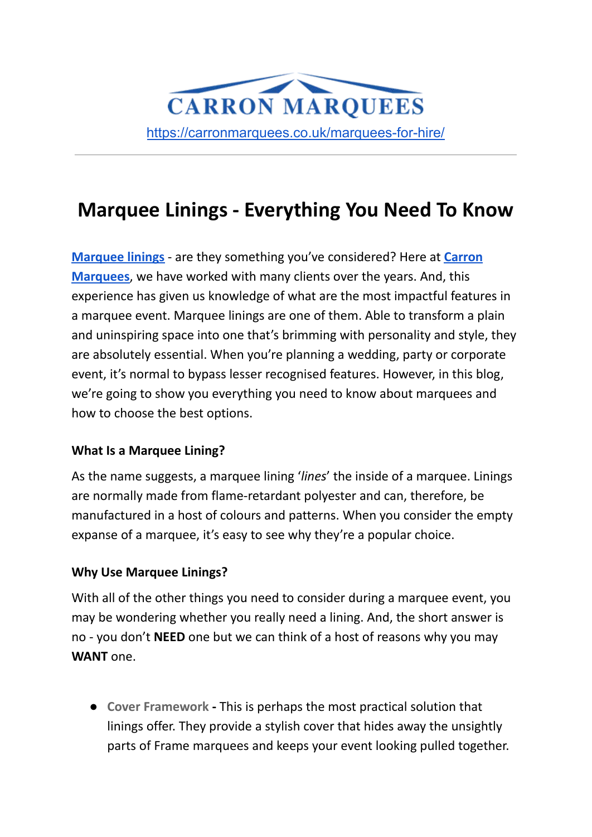

# **Marquee Linings - Everything You Need To Know**

**[Marquee linings](https://carronmarquees.co.uk/ancillary-items-2/marquee-linings/)** - are they something you've considered? Here at **[Carron](https://carronmarquees.co.uk) [Marquees](https://carronmarquees.co.uk)**, we have worked with many clients over the years. And, this experience has given us knowledge of what are the most impactful features in a marquee event. Marquee linings are one of them. Able to transform a plain and uninspiring space into one that's brimming with personality and style, they are absolutely essential. When you're planning a wedding, party or corporate event, it's normal to bypass lesser recognised features. However, in this blog, we're going to show you everything you need to know about marquees and how to choose the best options.

#### **What Is a Marquee Lining?**

As the name suggests, a marquee lining '*lines*' the inside of a marquee. Linings are normally made from flame-retardant polyester and can, therefore, be manufactured in a host of colours and patterns. When you consider the empty expanse of a marquee, it's easy to see why they're a popular choice.

## **Why Use Marquee Linings?**

With all of the other things you need to consider during a marquee event, you may be wondering whether you really need a lining. And, the short answer is no - you don't **NEED** one but we can think of a host of reasons why you may **WANT** one.

● **Cover Framework -** This is perhaps the most practical solution that linings offer. They provide a stylish cover that hides away the unsightly parts of Frame marquees and keeps your event looking pulled together.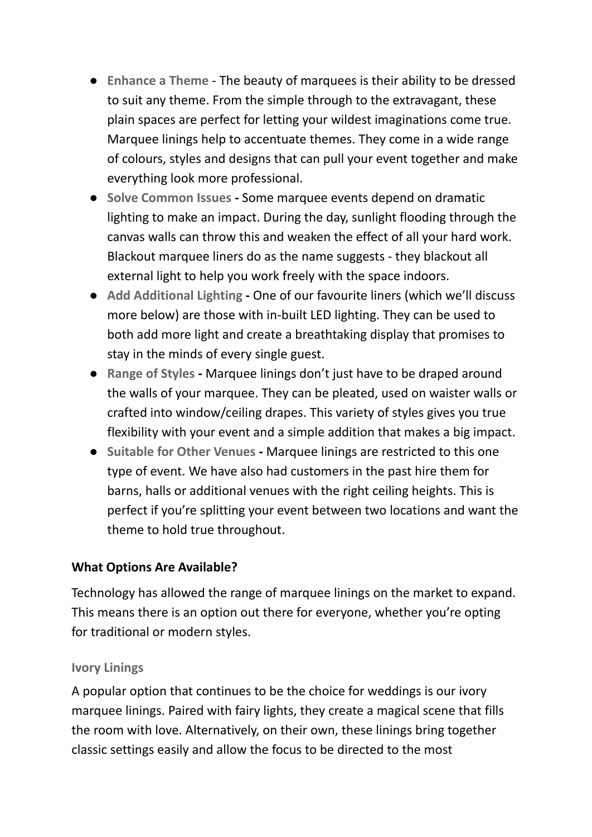- **Enhance a Theme** The beauty of marquees is their ability to be dressed to suit any theme. From the simple through to the extravagant, these plain spaces are perfect for letting your wildest imaginations come true. Marquee linings help to accentuate themes. They come in a wide range of colours, styles and designs that can pull your event together and make everything look more professional.
- **● Solve Common Issues -** Some marquee events depend on dramatic lighting to make an impact. During the day, sunlight flooding through the canvas walls can throw this and weaken the effect of all your hard work. Blackout marquee liners do as the name suggests - they blackout all external light to help you work freely with the space indoors.
- **● Add Additional Lighting -** One of our favourite liners (which we'll discuss more below) are those with in-built LED lighting. They can be used to both add more light and create a breathtaking display that promises to stay in the minds of every single guest.
- **● Range of Styles -** Marquee linings don't just have to be draped around the walls of your marquee. They can be pleated, used on waister walls or crafted into window/ceiling drapes. This variety of styles gives you true flexibility with your event and a simple addition that makes a big impact.
- **● Suitable for Other Venues -** Marquee linings are restricted to this one type of event. We have also had customers in the past hire them for barns, halls or additional venues with the right ceiling heights. This is perfect if you're splitting your event between two locations and want the theme to hold true throughout.

#### **What Options Are Available?**

Technology has allowed the range of marquee linings on the market to expand. This means there is an option out there for everyone, whether you're opting for traditional or modern styles.

#### **Ivory Linings**

A popular option that continues to be the choice for weddings is our ivory marquee linings. Paired with fairy lights, they create a magical scene that fills the room with love. Alternatively, on their own, these linings bring together classic settings easily and allow the focus to be directed to the most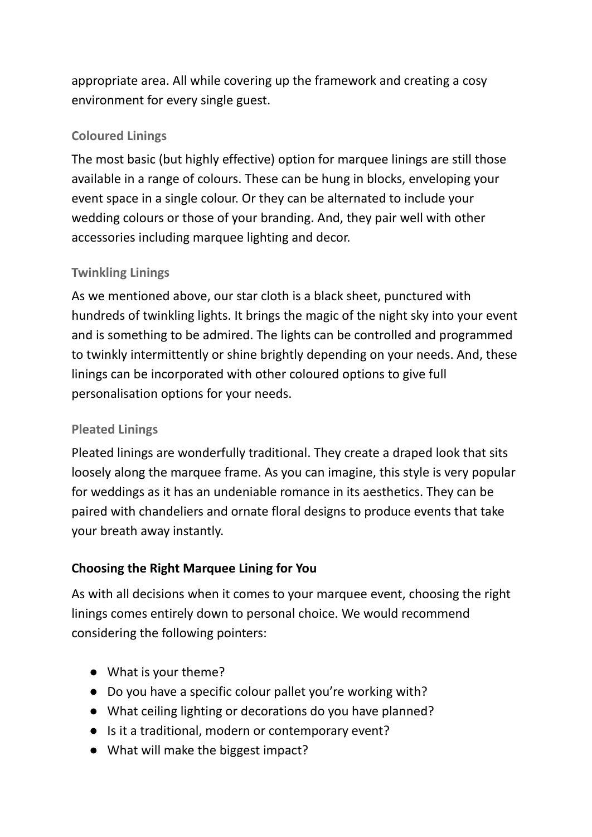appropriate area. All while covering up the framework and creating a cosy environment for every single guest.

## **Coloured Linings**

The most basic (but highly effective) option for marquee linings are still those available in a range of colours. These can be hung in blocks, enveloping your event space in a single colour. Or they can be alternated to include your wedding colours or those of your branding. And, they pair well with other accessories including marquee lighting and decor.

### **Twinkling Linings**

As we mentioned above, our star cloth is a black sheet, punctured with hundreds of twinkling lights. It brings the magic of the night sky into your event and is something to be admired. The lights can be controlled and programmed to twinkly intermittently or shine brightly depending on your needs. And, these linings can be incorporated with other coloured options to give full personalisation options for your needs.

## **Pleated Linings**

Pleated linings are wonderfully traditional. They create a draped look that sits loosely along the marquee frame. As you can imagine, this style is very popular for weddings as it has an undeniable romance in its aesthetics. They can be paired with chandeliers and ornate floral designs to produce events that take your breath away instantly.

## **Choosing the Right Marquee Lining for You**

As with all decisions when it comes to your marquee event, choosing the right linings comes entirely down to personal choice. We would recommend considering the following pointers:

- What is your theme?
- Do you have a specific colour pallet you're working with?
- What ceiling lighting or decorations do you have planned?
- Is it a traditional, modern or contemporary event?
- What will make the biggest impact?